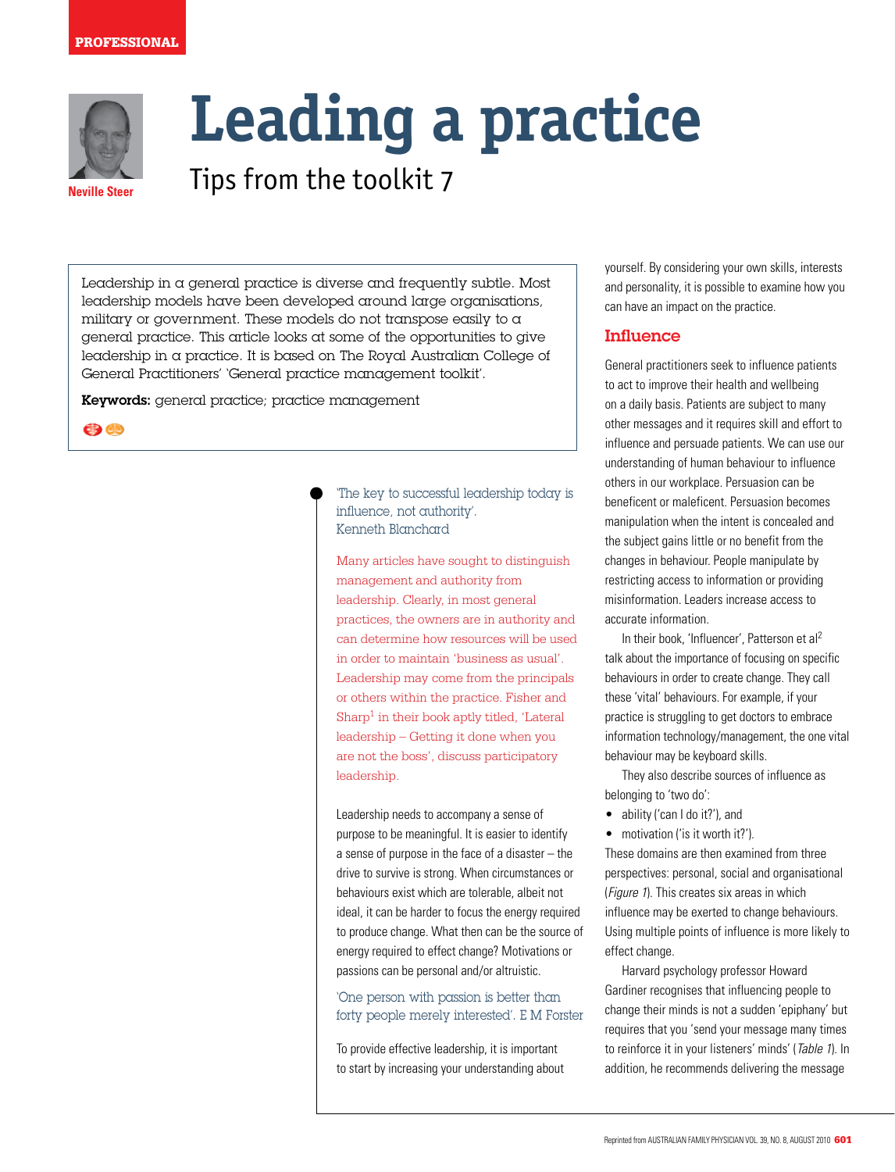#### **PROFESSIONAL**



# **Leading a practice**

**Neville Steer** Tips from the toolkit 7

Leadership in a general practice is diverse and frequently subtle. Most leadership models have been developed around large organisations, military or government. These models do not transpose easily to a general practice. This article looks at some of the opportunities to give leadership in a practice. It is based on The Royal Australian College of General Practitioners' 'General practice management toolkit'.

Keywords: general practice; practice management

69 CD

'The key to successful leadership today is influence, not authority'. Kenneth Blanchard

Many articles have sought to distinguish management and authority from leadership. Clearly, in most general practices, the owners are in authority and can determine how resources will be used in order to maintain 'business as usual'. Leadership may come from the principals or others within the practice. Fisher and Sharp<sup>1</sup> in their book aptly titled, 'Lateral leadership – Getting it done when you are not the boss', discuss participatory leadership.

Leadership needs to accompany a sense of purpose to be meaningful. It is easier to identify a sense of purpose in the face of a disaster – the drive to survive is strong. When circumstances or behaviours exist which are tolerable, albeit not ideal, it can be harder to focus the energy required to produce change. What then can be the source of energy required to effect change? Motivations or passions can be personal and/or altruistic.

'One person with passion is better than forty people merely interested'. E M Forster

To provide effective leadership, it is important to start by increasing your understanding about yourself. By considering your own skills, interests and personality, it is possible to examine how you can have an impact on the practice.

# Influence

General practitioners seek to influence patients to act to improve their health and wellbeing on a daily basis. Patients are subject to many other messages and it requires skill and effort to influence and persuade patients. We can use our understanding of human behaviour to influence others in our workplace. Persuasion can be beneficent or maleficent. Persuasion becomes manipulation when the intent is concealed and the subject gains little or no benefit from the changes in behaviour. People manipulate by restricting access to information or providing misinformation. Leaders increase access to accurate information.

In their book, 'Influencer', Patterson et al<sup>2</sup> talk about the importance of focusing on specific behaviours in order to create change. They call these 'vital' behaviours. For example, if your practice is struggling to get doctors to embrace information technology/management, the one vital behaviour may be keyboard skills.

They also describe sources of influence as belonging to 'two do':

- ability ('can I do it?'), and
- motivation ('is it worth it?').

These domains are then examined from three perspectives: personal, social and organisational (Figure 1). This creates six areas in which influence may be exerted to change behaviours. Using multiple points of influence is more likely to effect change.

Harvard psychology professor Howard Gardiner recognises that influencing people to change their minds is not a sudden 'epiphany' but requires that you 'send your message many times to reinforce it in your listeners' minds' (Table 1). In addition, he recommends delivering the message